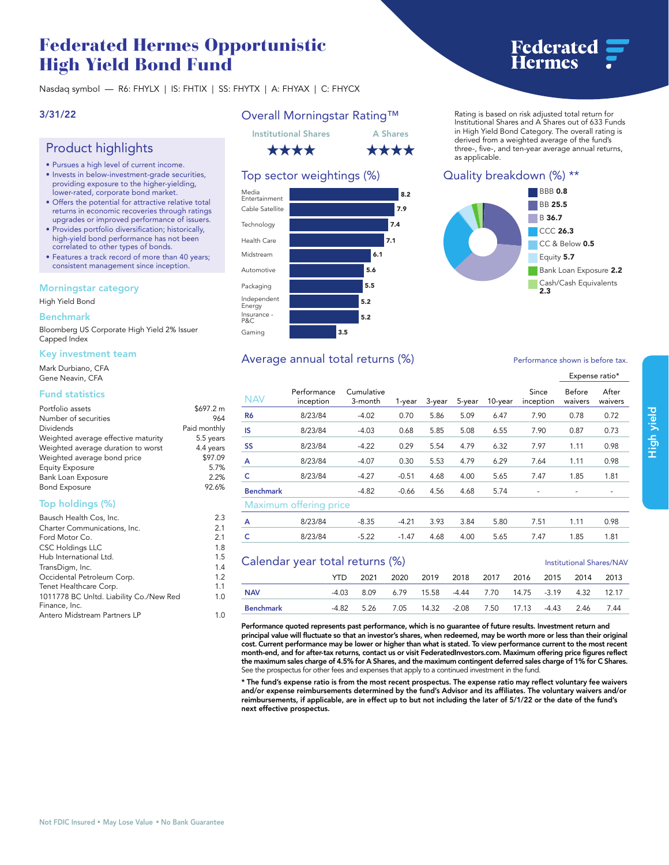# **Federated Hermes Opportunistic High Yield Bond Fund**

**Nasdaq symbol — R6: FHYLX | IS: FHTIX | SS: FHYTX | A: FHYAX | C: FHYCX**

## **3/31/22**

# **Product highlights**

- **• Pursues a high level of current income.**
- **• Invests in below-investment-grade securities, providing exposure to the higher-yielding, lower-rated, corporate bond market.**
- **• Offers the potential for attractive relative total returns in economic recoveries through ratings upgrades or improved performance of issuers.**
- **• Provides portfolio diversification; historically, high-yield bond performance has not been correlated to other types of bonds.**
- **• Features a track record of more than 40 years; consistent management since inception.**

#### **Morningstar category**

#### **High Yield Bond**

#### **Benchmark**

**Bloomberg US Corporate High Yield 2% Issuer Capped Index**

#### **Key investment team**

**Mark Durbiano, CFA Gene Neavin, CFA**

# **Fund statistics**

| Portfolio assets                    | \$697.2 m    |
|-------------------------------------|--------------|
| Number of securities                | 964          |
| Dividends                           | Paid monthly |
| Weighted average effective maturity | 5.5 years    |
| Weighted average duration to worst  | 4.4 years    |
| Weighted average bond price         | \$97.09      |
| <b>Equity Exposure</b>              | 5.7%         |
| Bank Loan Exposure                  | 2.2%         |
| <b>Bond Exposure</b>                | 92.6%        |

## **Top holdings (%)**

| Bausch Health Cos, Inc.                 |     |  |  |
|-----------------------------------------|-----|--|--|
| Charter Communications, Inc.            |     |  |  |
| Ford Motor Co.                          | 2.1 |  |  |
| <b>CSC Holdings LLC</b>                 | 1.8 |  |  |
| Hub International Ltd.                  | 1.5 |  |  |
| TransDigm, Inc.                         | 1.4 |  |  |
| Occidental Petroleum Corp.              | 1.2 |  |  |
| Tenet Healthcare Corp.                  | 1.1 |  |  |
| 1011778 BC Unltd. Liability Co./New Red | 1.0 |  |  |
| Finance, Inc.                           |     |  |  |
| Antero Midstream Partners LP            |     |  |  |

# **Overall Morningstar Rating™**



# **Top sector weightings (%)**



# Average annual total returns  $\left(\% \right)$  **Performance shown is before tax.**

# **Federated<br>Hermes**

**Rating is based on risk adjusted total return for Institutional Shares and A Shares out of 633 Funds in High Yield Bond Category. The overall rating is derived from a weighted average of the fund's three-, five-, and ten-year average annual returns, as applicable.**

# **Quality breakdown (%) \*\***



#### **Expense ratio\* NAV Performance inception Cumulative 3-month 1-year 3-year 5-year 10-year Since inception Before waivers After waivers R6 8/23/84 -4.02 0.70 5.86 5.09 6.47 7.90 0.78 0.72 IS 8/23/84 -4.03 0.68 5.85 5.08 6.55 7.90 0.87 0.73 SS 8/23/84 -4.22 0.29 5.54 4.79 6.32 7.97 1.11 0.98 A 8/23/84 -4.07 0.30 5.53 4.79 6.29 7.64 1.11 0.98 C 8/23/84 -4.27 -0.51 4.68 4.00 5.65 7.47 1.85 1.81 Benchmark -4.82 -0.66 4.56 4.68 5.74 - - - Maximum offering price A 8/23/84 -8.35 -4.21 3.93 3.84 5.80 7.51 1.11 0.98 C 8/23/84 -5.22 -1.47 4.68 4.00 5.65 7.47 1.85 1.81**

# **Calendar year total returns (%) Institutional Shares/NAV**

|            | $\frac{1}{2}$ |  |  |  |  |  | $113$ uuuuun jiran 371 yay                              |  |  |  |
|------------|---------------|--|--|--|--|--|---------------------------------------------------------|--|--|--|
|            | YTD.          |  |  |  |  |  | 2021 2020 2019 2018 2017 2016 2015 2014 2013            |  |  |  |
| <b>NAV</b> |               |  |  |  |  |  | -4.03 8.09 6.79 15.58 -4.44 7.70 14.75 -3.19 4.32 12.17 |  |  |  |
| Benchmark  |               |  |  |  |  |  | -4.82 5.26 7.05 14.32 -2.08 7.50 17.13 -4.43 2.46 7.44  |  |  |  |

**Performance quoted represents past performance, which is no guarantee of future results. Investment return and**  principal value will fluctuate so that an investor's shares, when redeemed, may be worth more or less than their original<br>cost. Current performance may be lower or higher than what is stated. To view performance current to **month-end, and for after-tax returns, contact us or visit [FederatedInvestors.com.](www.federatedinvestors.com) Maximum offering price figures reflect the maximum sales charge of 4.5% for A Shares, and the maximum contingent deferred sales charge of 1% for C Shares. See the prospectus for other fees and expenses that apply to a continued investment in the fund.**

**\* The fund's expense ratio is from the most recent prospectus. The expense ratio may reflect voluntary fee waivers and/or expense reimbursements determined by the fund's Advisor and its affiliates. The voluntary waivers and/or reimbursements, if applicable, are in effect up to but not including the later of 5/1/22 or the date of the fund's next effective prospectus.**